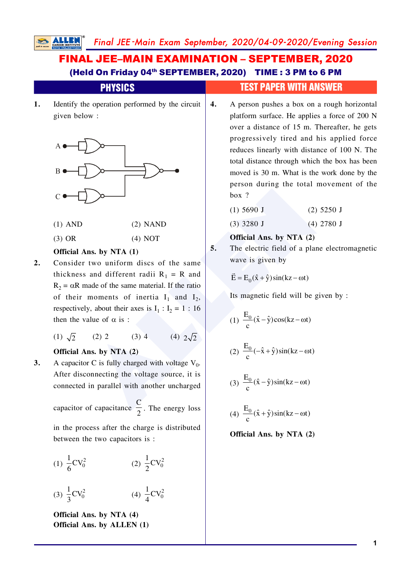# FINAL JEE–MAIN EXAMINATION – SEPTEMBER, 2020 (Held On Friday 04<sup>th</sup> SEPTEMBER, 2020) TIME: 3 PM to 6 PM

|    | <b>PHYSICS</b>                                                                                                                                                                                                                                        |    | <b>TEST PAPER WITH ANSWER</b>                                                                                                                                                                                                                                                                                                                                                                                                |
|----|-------------------------------------------------------------------------------------------------------------------------------------------------------------------------------------------------------------------------------------------------------|----|------------------------------------------------------------------------------------------------------------------------------------------------------------------------------------------------------------------------------------------------------------------------------------------------------------------------------------------------------------------------------------------------------------------------------|
| 1. | Identify the operation performed by the circuit<br>given below :                                                                                                                                                                                      | 4. | A person pushes a box on a rough horizontal<br>platform surface. He applies a force of 200 N<br>over a distance of 15 m. Thereafter, he gets<br>progressively tired and his applied force<br>reduces linearly with distance of 100 N. The<br>total distance through which the box has been<br>moved is 30 m. What is the work done by the<br>person during the total movement of the<br>box?<br>$(1)$ 5690 J<br>$(2)$ 5250 J |
|    | $(1)$ AND<br>$(2)$ NAND                                                                                                                                                                                                                               |    | $(3)$ 3280 J<br>$(4)$ 2780 J                                                                                                                                                                                                                                                                                                                                                                                                 |
| 2. | $(3)$ OR<br>(4) NOT<br>Official Ans. by NTA (1)<br>Consider two uniform discs of the same<br>thickness and different radii $R_1 = R$ and<br>$R_2 = \alpha R$ made of the same material. If the ratio<br>of their moments of inertia $I_1$ and $I_2$ , | 5. | Official Ans. by NTA (2)<br>The electric field of a plane electromagnetic<br>wave is given by<br>$\vec{E} = E_0(\hat{x} + \hat{y})\sin(kz - \omega t)$<br>Its magnetic field will be given by :                                                                                                                                                                                                                              |
|    | respectively, about their axes is $I_1$ : $I_2$ = 1:16<br>then the value of $\alpha$ is :<br>$(3)$ 4<br>(4) $2\sqrt{2}$<br>(1) $\sqrt{2}$<br>$(2)$ 2                                                                                                  |    | (1) $\frac{E_0}{c}(\hat{x} - \hat{y})\cos(kz - \omega t)$<br>(2) $\frac{E_0}{c}(-\hat{x} + \hat{y})\sin(kz - \omega t)$                                                                                                                                                                                                                                                                                                      |
| 3. | Official Ans. by NTA (2)<br>A capacitor C is fully charged with voltage $V_0$ .<br>After disconnecting the voltage source, it is<br>connected in parallel with another uncharged<br>capacitor of capacitance $\frac{C}{2}$ . The energy loss          |    | (3) $\frac{E_0}{c}(\hat{x} - \hat{y})\sin(kz - \omega t)$<br>(4) $\frac{E_0}{(x + \hat{y})\sin(kz - \omega t)}$                                                                                                                                                                                                                                                                                                              |

in the process after the charge is distributed

(1)  $\frac{1}{6}CV_0^2$  $\frac{1}{6}CV_0^2$  (2)  $\frac{1}{2}CV_0^2$ /

between the two capacitors is:

 $(3) \frac{1}{2}CV_0^2$  $\overline{\mathbf{3}}$ (4)  $\frac{1}{4}CV_0^2$ 1

**Official Ans. by NTA (4) Official Ans. by ALLEN (1)** **Official Ans. by NTA (2)**

 $(4)$ 

 $\mathbf{c}$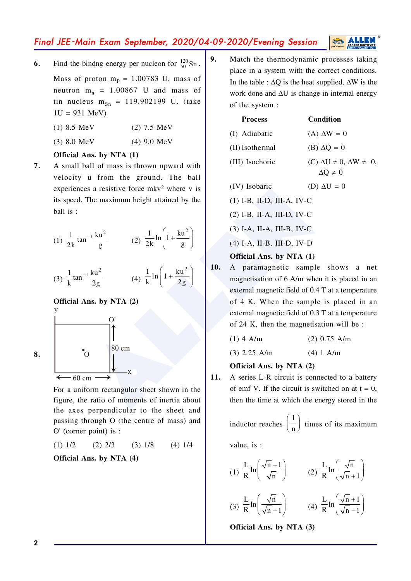# Final JEE-Main Exam September, 2020/04-09-2020/Evening Session

Find the bindng energy per nucleon for  $\frac{120}{50}$  Sn. 6.

Mass of proton  $m_P = 1.00783$  U, mass of neutron  $m_n = 1.00867$  U and mass of tin nucleus  $m_{Sn} = 119.902199$  U. (take  $1U = 931 \text{ MeV}$ 

 $(1)$  8.5 MeV  $(2)$  7.5 MeV

 $(3) 8.0 MeV$  $(4)$  9.0 MeV

#### Official Ans. by NTA (1)

7. A small ball of mass is thrown upward with velocity u from the ground. The ball experiences a resistive force mkv<sup>2</sup> where v is its speed. The maximum height attained by the ball is :



Official Ans. by NTA (2)

 $80 \text{ cm}$ 

For a uniform rectangular sheet shown in the figure, the ratio of moments of inertia about the axes perpendicular to the sheet and passing through O (the centre of mass) and  $O'$  (corner point) is :

$$
(1) 1/2 \qquad (2) 2/3 \qquad (3) 1/8 \qquad (4) 1/4
$$

Official Ans. by NTA (4)

 $9<sub>1</sub>$ Match the thermodynamic processes taking place in a system with the correct conditions. In the table :  $\Delta Q$  is the heat supplied,  $\Delta W$  is the work done and  $\Delta U$  is change in internal energy of the system:

| <b>Process</b>  | <b>Condition</b>                                                 |
|-----------------|------------------------------------------------------------------|
| (I) Adiabatic   | $(A) \Delta W = 0$                                               |
| (II) Isothermal | $(B) \Delta Q = 0$                                               |
| (III) Isochoric | $(C) \Delta U \neq 0$ , $\Delta W \neq 0$ ,<br>$\Delta Q \neq 0$ |
|                 |                                                                  |

- (IV) Isobaric (D)  $\Delta U = 0$
- $(1)$  I-B, II-D, III-A, IV-C
- (2) I-B, II-A, III-D, IV-C
- $(3)$  I-A, II-A, III-B, IV-C
- (4) I-A, II-B, III-D, IV-D
- Official Ans. by NTA (1)
- 10. A paramagnetic sample shows a net magnetisation of 6 A/m when it is placed in an external magnetic field of 0.4 T at a temperature of 4 K. When the sample is placed in an external magnetic field of 0.3 T at a temperature of 24 K, then the magnetisation will be :
	- $(1)$  4 A/m  $(2)$  0.75 A/m
	- $(3)$  2.25 A/m  $(4) 1 A/m$

#### Official Ans. by NTA (2)

11. A series L-R circuit is connected to a battery of emf V. If the circuit is switched on at  $t = 0$ , then the time at which the energy stored in the

inductor reaches  $\left(\frac{1}{n}\right)$  times of its maximum

value, is :

(1) 
$$
\frac{L}{R} \ln \left( \frac{\sqrt{n-1}}{\sqrt{n}} \right)
$$
  
\n(2)  $\frac{L}{R} \ln \left( \frac{\sqrt{n}}{\sqrt{n+1}} \right)$   
\n(3)  $\frac{L}{R} \ln \left( \frac{\sqrt{n}}{\sqrt{n-1}} \right)$   
\n(4)  $\frac{L}{R} \ln \left( \frac{\sqrt{n+1}}{\sqrt{n-1}} \right)$ 

Official Ans. by NTA (3)

8.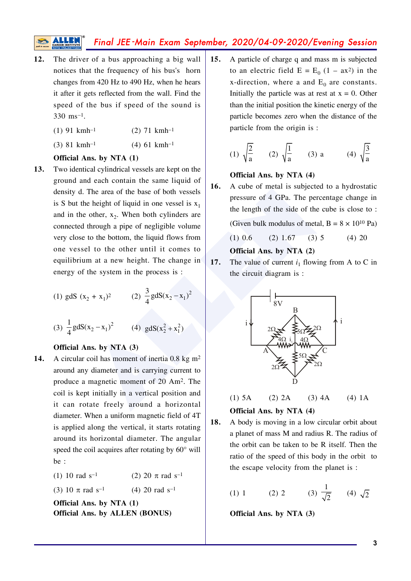# Final JEE-Main Exam September, 2020/04-09-2020/Evening Session

- The driver of a bus approaching a big wall  $12.$ notices that the frequency of his bus's horn changes from 420 Hz to 490 Hz, when he hears it after it gets reflected from the wall. Find the speed of the bus if speed of the sound is 330 ms<sup>-1</sup>.
	- $(1)$  91 kmh<sup>-1</sup>  $(2)$  71 kmh<sup>-1</sup>
	- $(3)$  81 kmh<sup>-1</sup>  $(4)$  61 kmh<sup>-1</sup>

## Official Ans. by NTA (1)

13. Two identical cylindrical vessels are kept on the ground and each contain the same liquid of density d. The area of the base of both vessels is S but the height of liquid in one vessel is  $x_1$ and in the other,  $x_2$ . When both cylinders are connected through a pipe of negligible volume very close to the bottom, the liquid flows from one vessel to the other until it comes to equilibrium at a new height. The change in energy of the system in the process is :

(1) gdS 
$$
(x_2 + x_1)^2
$$
 (2)  $\frac{3}{4}gdS(x_2 - x_1)^2$ 

(3)  $\frac{1}{4}$  gdS(x<sub>2</sub> - x<sub>1</sub>)<sup>2</sup> (4) gdS(x<sub>2</sub><sup>2</sup> + x<sub>1</sub><sup>2</sup>)

#### Official Ans. by NTA (3)

 $14.$ A circular coil has moment of inertia 0.8 kg  $m<sup>2</sup>$ around any diameter and is carrying current to produce a magnetic moment of 20 Am<sup>2</sup>. The coil is kept initially in a vertical position and it can rotate freely around a horizontal diameter. When a uniform magnetic field of 4T is applied along the vertical, it starts rotating around its horizontal diameter. The angular speed the coil acquires after rotating by  $60^{\circ}$  will  $he:$ 

> (2) 20  $\pi$  rad s<sup>-1</sup>  $(1)$  10 rad s<sup>-1</sup>

(3) 10  $\pi$  rad s<sup>-1</sup>  $(4)$  20 rad s<sup>-1</sup>

Official Ans. by NTA (1) Official Ans. by ALLEN (BONUS)  $15.$ A particle of charge q and mass m is subjected to an electric field  $E = E_0 (1 - ax^2)$  in the x-direction, where a and  $E_0$  are constants. Initially the particle was at rest at  $x = 0$ . Other than the initial position the kinetic energy of the particle becomes zero when the distance of the particle from the origin is:

(1) 
$$
\sqrt{\frac{2}{a}}
$$
 (2)  $\sqrt{\frac{1}{a}}$  (3) a (4)  $\sqrt{\frac{3}{a}}$ 

#### Official Ans. by NTA (4)

16. A cube of metal is subjected to a hydrostatic pressure of 4 GPa. The percentage change in the length of the side of the cube is close to:

(Given bulk modulus of metal,  $B = 8 \times 10^{10}$  Pa)

$$
(1) 0.6 \t(2) 1.67 \t(3) 5 \t(4) 20
$$

## Official Ans. by NTA (2)

17. The value of current  $i_1$  flowing from A to C in the circuit diagram is:



 $(1)$  5A  $(2)$  2A  $(3)$  4A  $(4) 1A$ 

### Official Ans. by NTA (4)

18. A body is moving in a low circular orbit about a planet of mass M and radius R. The radius of the orbit can be taken to be R itself. Then the ratio of the speed of this body in the orbit to the escape velocity from the planet is :

(1) 1 (2) 2 (3) 
$$
\frac{1}{\sqrt{2}}
$$
 (4)  $\sqrt{2}$ 

Official Ans. by NTA (3)